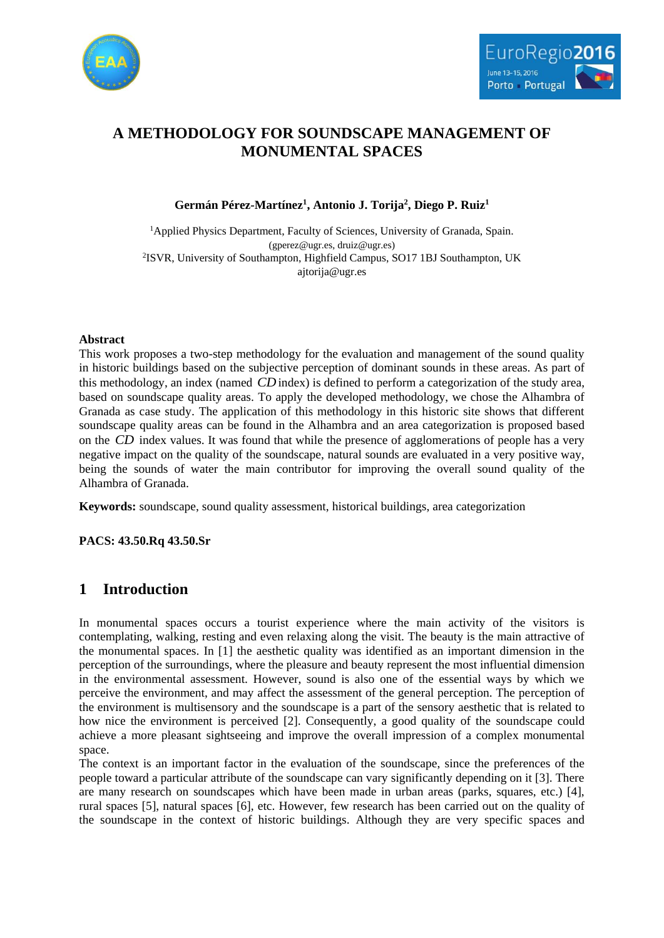



# **A METHODOLOGY FOR SOUNDSCAPE MANAGEMENT OF MONUMENTAL SPACES**

**Germán Pérez-Martínez<sup>1</sup> , Antonio J. Torija<sup>2</sup> , Diego P. Ruiz<sup>1</sup>**

<sup>1</sup>Applied Physics Department, Faculty of Sciences, University of Granada, Spain. (gperez@ugr.es, druiz@ugr.es) 2 ISVR, University of Southampton, Highfield Campus, SO17 1BJ Southampton, UK ajtorija@ugr.es

## **Abstract**

This work proposes a two-step methodology for the evaluation and management of the sound quality in historic buildings based on the subjective perception of dominant sounds in these areas. As part of this methodology, an index (named *CD* index) is defined to perform a categorization of the study area, based on soundscape quality areas. To apply the developed methodology, we chose the Alhambra of Granada as case study. The application of this methodology in this historic site shows that different soundscape quality areas can be found in the Alhambra and an area categorization is proposed based on the *CD* index values. It was found that while the presence of agglomerations of people has a very negative impact on the quality of the soundscape, natural sounds are evaluated in a very positive way, being the sounds of water the main contributor for improving the overall sound quality of the Alhambra of Granada.

**Keywords:** soundscape, sound quality assessment, historical buildings, area categorization

**PACS: 43.50.Rq 43.50.Sr**

# **1 Introduction**

In monumental spaces occurs a tourist experience where the main activity of the visitors is contemplating, walking, resting and even relaxing along the visit. The beauty is the main attractive of the monumental spaces. In [1] the aesthetic quality was identified as an important dimension in the perception of the surroundings, where the pleasure and beauty represent the most influential dimension in the environmental assessment. However, sound is also one of the essential ways by which we perceive the environment, and may affect the assessment of the general perception. The perception of the environment is multisensory and the soundscape is a part of the sensory aesthetic that is related to how nice the environment is perceived [2]. Consequently, a good quality of the soundscape could achieve a more pleasant sightseeing and improve the overall impression of a complex monumental space.

The context is an important factor in the evaluation of the soundscape, since the preferences of the people toward a particular attribute of the soundscape can vary significantly depending on it [3]. There are many research on soundscapes which have been made in urban areas (parks, squares, etc.) [4], rural spaces [5], natural spaces [6], etc. However, few research has been carried out on the quality of the soundscape in the context of historic buildings. Although they are very specific spaces and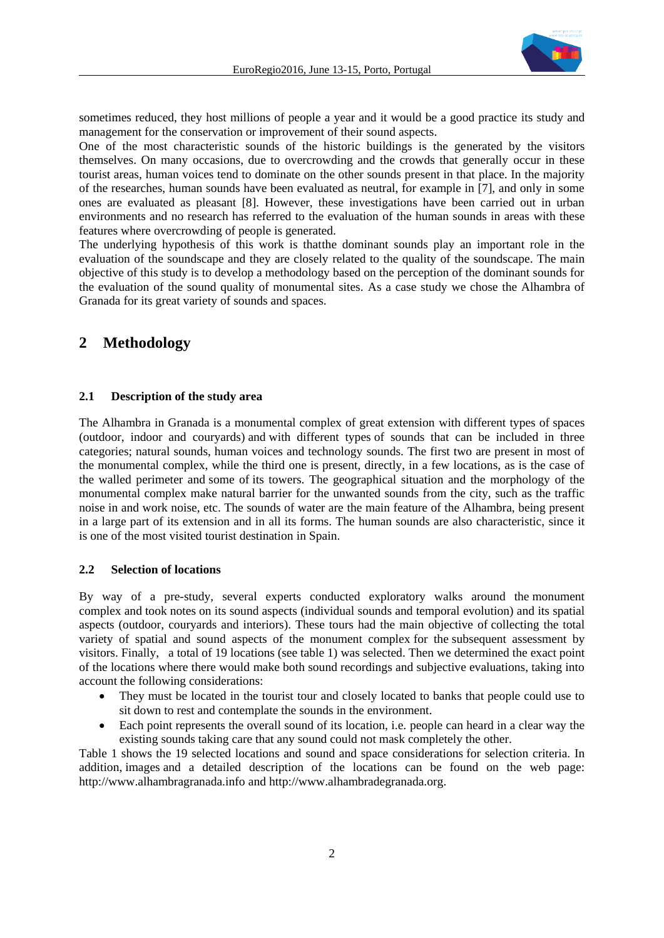

sometimes reduced, they host millions of people a year and it would be a good practice its study and management for the conservation or improvement of their sound aspects.

One of the most characteristic sounds of the historic buildings is the generated by the visitors themselves. On many occasions, due to overcrowding and the crowds that generally occur in these tourist areas, human voices tend to dominate on the other sounds present in that place. In the majority of the researches, human sounds have been evaluated as neutral, for example in [7], and only in some ones are evaluated as pleasant [8]. However, these investigations have been carried out in urban environments and no research has referred to the evaluation of the human sounds in areas with these features where overcrowding of people is generated.

The underlying hypothesis of this work is thatthe dominant sounds play an important role in the evaluation of the soundscape and they are closely related to the quality of the soundscape. The main objective of this study is to develop a methodology based on the perception of the dominant sounds for the evaluation of the sound quality of monumental sites. As a case study we chose the Alhambra of Granada for its great variety of sounds and spaces.

## **2 Methodology**

### **2.1 Description of the study area**

The Alhambra in Granada is a monumental complex of great extension with different types of spaces (outdoor, indoor and couryards) and with different types of sounds that can be included in three categories; natural sounds, human voices and technology sounds. The first two are present in most of the monumental complex, while the third one is present, directly, in a few locations, as is the case of the walled perimeter and some of its towers. The geographical situation and the morphology of the monumental complex make natural barrier for the unwanted sounds from the city, such as the traffic noise in and work noise, etc. The sounds of water are the main feature of the Alhambra, being present in a large part of its extension and in all its forms. The human sounds are also characteristic, since it is one of the most visited tourist destination in Spain.

### **2.2 Selection of locations**

By way of a pre-study, several experts conducted exploratory walks around the monument complex and took notes on its sound aspects (individual sounds and temporal evolution) and its spatial aspects (outdoor, couryards and interiors). These tours had the main objective of collecting the total variety of spatial and sound aspects of the monument complex for the subsequent assessment by visitors. Finally, a total of 19 locations (see table 1) was selected. Then we determined the exact point of the locations where there would make both sound recordings and subjective evaluations, taking into account the following considerations:

- They must be located in the tourist tour and closely located to banks that people could use to sit down to rest and contemplate the sounds in the environment.
- Each point represents the overall sound of its location, i.e. people can heard in a clear way the existing sounds taking care that any sound could not mask completely the other.

Table 1 shows the 19 selected locations and sound and space considerations for selection criteria. In addition, images and a detailed description of the locations can be found on the web page: [http://www.alhambragranada.info](http://www.alhambragranada.info/) and [http://www.alhambradegranada.org.](http://www.alhambradegranada.org/)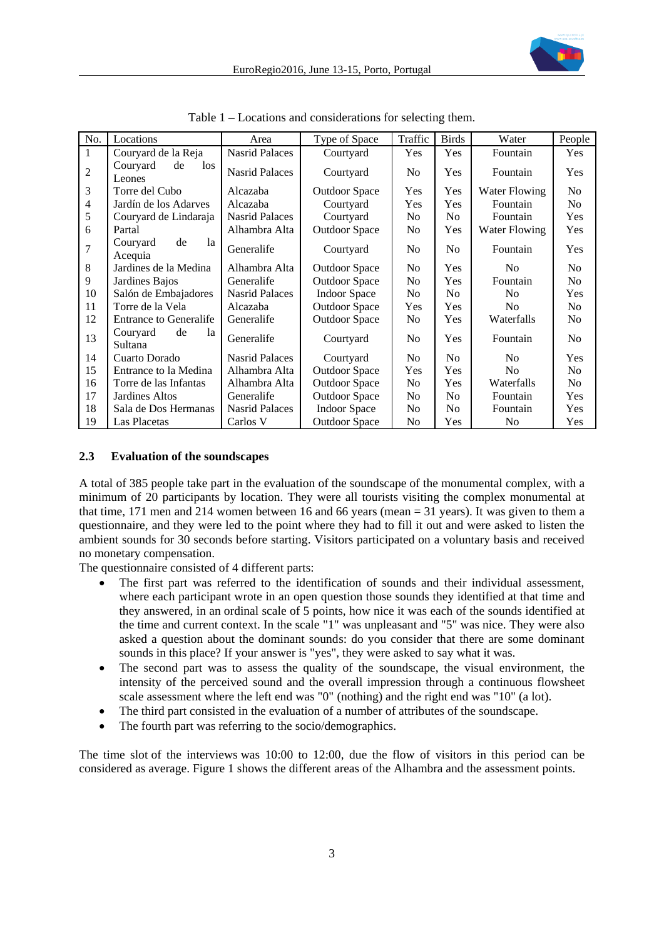

| No.            | Locations                       | Area                  | Type of Space        | Traffic        | <b>Birds</b>   | Water                | People         |
|----------------|---------------------------------|-----------------------|----------------------|----------------|----------------|----------------------|----------------|
| 1              | Couryard de la Reja             | <b>Nasrid Palaces</b> | Courtyard            | Yes            | Yes            | Fountain             | Yes            |
| $\overline{2}$ | Couryard<br>de<br>los<br>Leones | <b>Nasrid Palaces</b> | Courtyard            | N <sub>o</sub> | Yes            | Fountain             | Yes            |
| 3              | Torre del Cubo                  | Alcazaba              | <b>Outdoor Space</b> | Yes            | Yes            | Water Flowing        | No             |
| $\overline{4}$ | Jardín de los Adarves           | Alcazaba              | Courtyard            | Yes            | Yes            | Fountain             | No             |
| 5              | Couryard de Lindaraja           | <b>Nasrid Palaces</b> | Courtyard            | No             | N <sub>o</sub> | Fountain             | Yes            |
| 6              | Partal                          | Alhambra Alta         | <b>Outdoor Space</b> | N <sub>0</sub> | Yes            | <b>Water Flowing</b> | Yes            |
| 7              | Couryard<br>la<br>de<br>Acequia | Generalife            | Courtyard            | N <sub>0</sub> | N <sub>o</sub> | Fountain             | Yes            |
| 8              | Jardines de la Medina           | Alhambra Alta         | <b>Outdoor Space</b> | N <sub>o</sub> | Yes            | N <sub>0</sub>       | N <sub>o</sub> |
| 9              | Jardines Bajos                  | Generalife            | <b>Outdoor Space</b> | No             | Yes            | Fountain             | N <sub>o</sub> |
| 10             | Salón de Embajadores            | <b>Nasrid Palaces</b> | <b>Indoor Space</b>  | No             | N <sub>o</sub> | N <sub>0</sub>       | Yes            |
| 11             | Torre de la Vela                | Alcazaba              | <b>Outdoor Space</b> | Yes            | Yes            | N <sub>0</sub>       | N <sub>o</sub> |
| 12             | <b>Entrance to Generalife</b>   | Generalife            | <b>Outdoor Space</b> | N <sub>0</sub> | Yes            | Waterfalls           | N <sub>o</sub> |
| 13             | de<br>Couryard<br>la<br>Sultana | Generalife            | Courtyard            | N <sub>0</sub> | Yes            | Fountain             | N <sub>0</sub> |
| 14             | Cuarto Dorado                   | <b>Nasrid Palaces</b> | Courtyard            | N <sub>0</sub> | N <sub>o</sub> | No                   | Yes            |
| 15             | Entrance to la Medina           | Alhambra Alta         | <b>Outdoor Space</b> | Yes            | Yes            | N <sub>0</sub>       | No             |
| 16             | Torre de las Infantas           | Alhambra Alta         | <b>Outdoor Space</b> | N <sub>0</sub> | Yes            | Waterfalls           | N <sub>o</sub> |
| 17             | Jardines Altos                  | Generalife            | <b>Outdoor Space</b> | N <sub>0</sub> | N <sub>0</sub> | Fountain             | Yes            |
| 18             | Sala de Dos Hermanas            | <b>Nasrid Palaces</b> | <b>Indoor Space</b>  | N <sub>0</sub> | N <sub>o</sub> | Fountain             | Yes            |
| 19             | Las Placetas                    | Carlos V              | <b>Outdoor Space</b> | No             | Yes            | No                   | Yes            |

Table 1 – Locations and considerations for selecting them.

#### **2.3 Evaluation of the soundscapes**

A total of 385 people take part in the evaluation of the soundscape of the monumental complex, with a minimum of 20 participants by location. They were all tourists visiting the complex monumental at that time, 171 men and 214 women between 16 and 66 years (mean  $= 31$  years). It was given to them a questionnaire, and they were led to the point where they had to fill it out and were asked to listen the ambient sounds for 30 seconds before starting. Visitors participated on a voluntary basis and received no monetary compensation.

The questionnaire consisted of 4 different parts:

- The first part was referred to the identification of sounds and their individual assessment, where each participant wrote in an open question those sounds they identified at that time and they answered, in an ordinal scale of 5 points, how nice it was each of the sounds identified at the time and current context. In the scale "1" was unpleasant and "5" was nice. They were also asked a question about the dominant sounds: do you consider that there are some dominant sounds in this place? If your answer is "yes", they were asked to say what it was.
- The second part was to assess the quality of the soundscape, the visual environment, the intensity of the perceived sound and the overall impression through a continuous flowsheet scale assessment where the left end was "0" (nothing) and the right end was "10" (a lot).
- The third part consisted in the evaluation of a number of attributes of the soundscape.
- The fourth part was referring to the socio/demographics.

The time slot of the interviews was 10:00 to 12:00, due the flow of visitors in this period can be considered as average. Figure 1 shows the different areas of the Alhambra and the assessment points.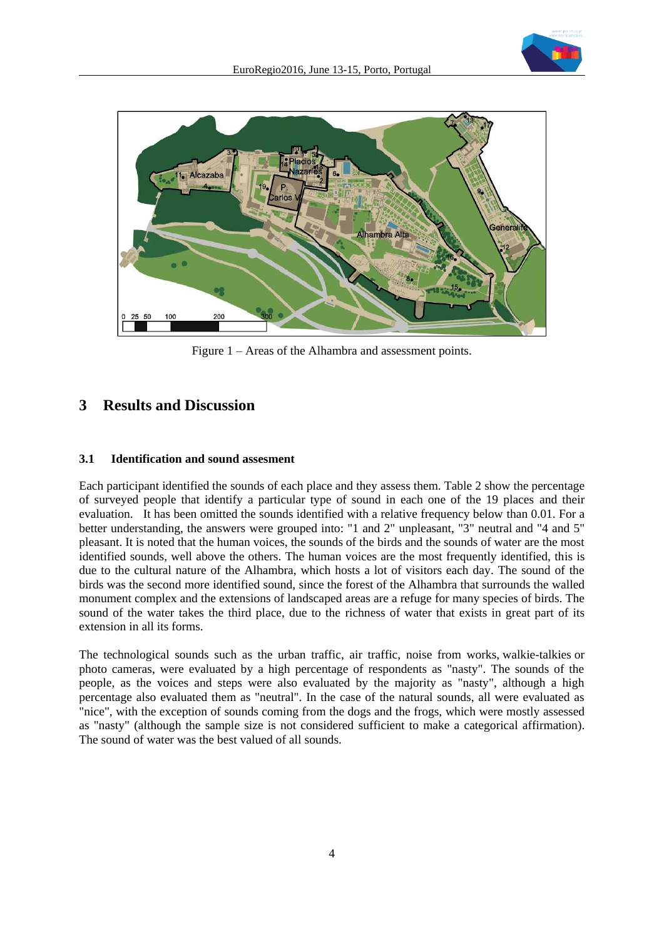



Figure 1 – Areas of the Alhambra and assessment points.

# **3 Results and Discussion**

## **3.1 Identification and sound assesment**

Each participant identified the sounds of each place and they assess them. Table 2 show the percentage of surveyed people that identify a particular type of sound in each one of the 19 places and their evaluation. It has been omitted the sounds identified with a relative frequency below than 0.01. For a better understanding, the answers were grouped into: "1 and 2" unpleasant, "3" neutral and "4 and 5" pleasant. It is noted that the human voices, the sounds of the birds and the sounds of water are the most identified sounds, well above the others. The human voices are the most frequently identified, this is due to the cultural nature of the Alhambra, which hosts a lot of visitors each day. The sound of the birds was the second more identified sound, since the forest of the Alhambra that surrounds the walled monument complex and the extensions of landscaped areas are a refuge for many species of birds. The sound of the water takes the third place, due to the richness of water that exists in great part of its extension in all its forms.

The technological sounds such as the urban traffic, air traffic, noise from works, walkie-talkies or photo cameras, were evaluated by a high percentage of respondents as "nasty". The sounds of the people, as the voices and steps were also evaluated by the majority as "nasty", although a high percentage also evaluated them as "neutral". In the case of the natural sounds, all were evaluated as "nice", with the exception of sounds coming from the dogs and the frogs, which were mostly assessed as "nasty" (although the sample size is not considered sufficient to make a categorical affirmation). The sound of water was the best valued of all sounds.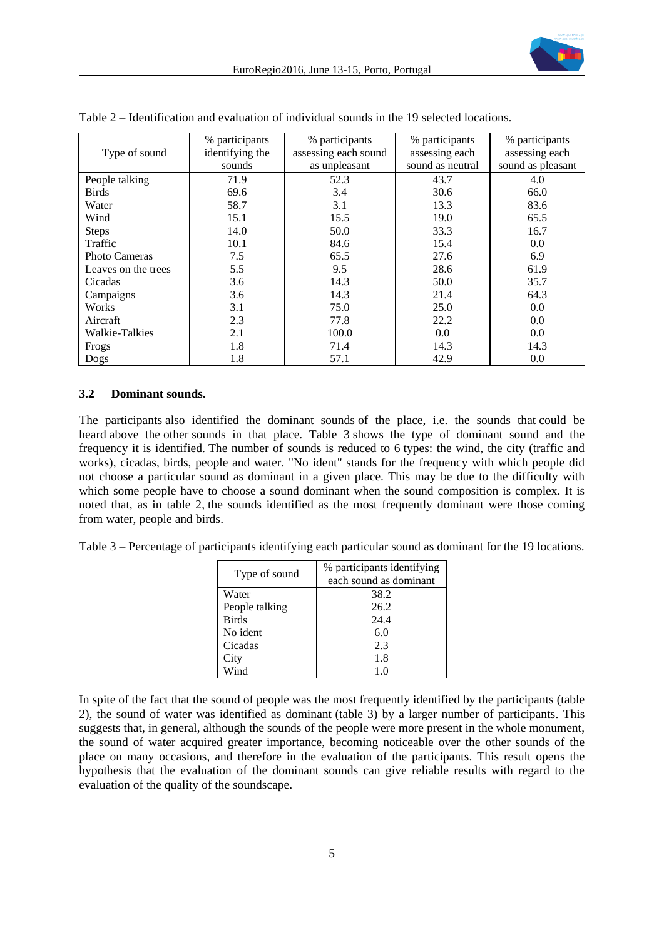|                      | % participants  | % participants       | % participants   | % participants    |
|----------------------|-----------------|----------------------|------------------|-------------------|
| Type of sound        | identifying the | assessing each sound | assessing each   | assessing each    |
|                      | sounds          | as unpleasant        | sound as neutral | sound as pleasant |
| People talking       | 71.9            | 52.3                 | 43.7             | 4.0               |
| <b>Birds</b>         | 69.6            | 3.4                  | 30.6             | 66.0              |
| Water                | 58.7            | 3.1                  | 13.3             | 83.6              |
| Wind                 | 15.1            | 15.5                 | 19.0             | 65.5              |
| <b>Steps</b>         | 14.0            | 50.0                 | 33.3             | 16.7              |
| Traffic              | 10.1            | 84.6                 | 15.4             | 0.0               |
| <b>Photo Cameras</b> | 7.5             | 65.5                 | 27.6             | 6.9               |
| Leaves on the trees  | 5.5             | 9.5                  | 28.6             | 61.9              |
| Cicadas              | 3.6             | 14.3                 | 50.0             | 35.7              |
| Campaigns            | 3.6             | 14.3                 | 21.4             | 64.3              |
| Works                | 3.1             | 75.0                 | 25.0             | 0.0               |
| Aircraft             | 2.3             | 77.8                 | 22.2             | 0.0               |
| Walkie-Talkies       | 2.1             | 100.0                | 0.0              | 0.0               |
| Frogs                | 1.8             | 71.4                 | 14.3             | 14.3              |
| Dogs                 | 1.8             | 57.1                 | 42.9             | 0.0               |

Table 2 – Identification and evaluation of individual sounds in the 19 selected locations.

## **3.2 Dominant sounds.**

The participants also identified the dominant sounds of the place, i.e. the sounds that could be heard above the other sounds in that place. Table 3 shows the type of dominant sound and the frequency it is identified. The number of sounds is reduced to 6 types: the wind, the city (traffic and works), cicadas, birds, people and water. "No ident" stands for the frequency with which people did not choose a particular sound as dominant in a given place. This may be due to the difficulty with which some people have to choose a sound dominant when the sound composition is complex. It is noted that, as in table 2, the sounds identified as the most frequently dominant were those coming from water, people and birds.

Table 3 – Percentage of participants identifying each particular sound as dominant for the 19 locations.

| Type of sound  | % participants identifying |  |  |
|----------------|----------------------------|--|--|
|                | each sound as dominant     |  |  |
| Water          | 38.2                       |  |  |
| People talking | 26.2                       |  |  |
| <b>Birds</b>   | 24.4                       |  |  |
| No ident       | 6.0                        |  |  |
| Cicadas        | 2.3                        |  |  |
| City           | 1.8                        |  |  |
| Wind           | 10                         |  |  |

In spite of the fact that the sound of people was the most frequently identified by the participants (table 2), the sound of water was identified as dominant (table 3) by a larger number of participants. This suggests that, in general, although the sounds of the people were more present in the whole monument, the sound of water acquired greater importance, becoming noticeable over the other sounds of the place on many occasions, and therefore in the evaluation of the participants. This result opens the hypothesis that the evaluation of the dominant sounds can give reliable results with regard to the evaluation of the quality of the soundscape.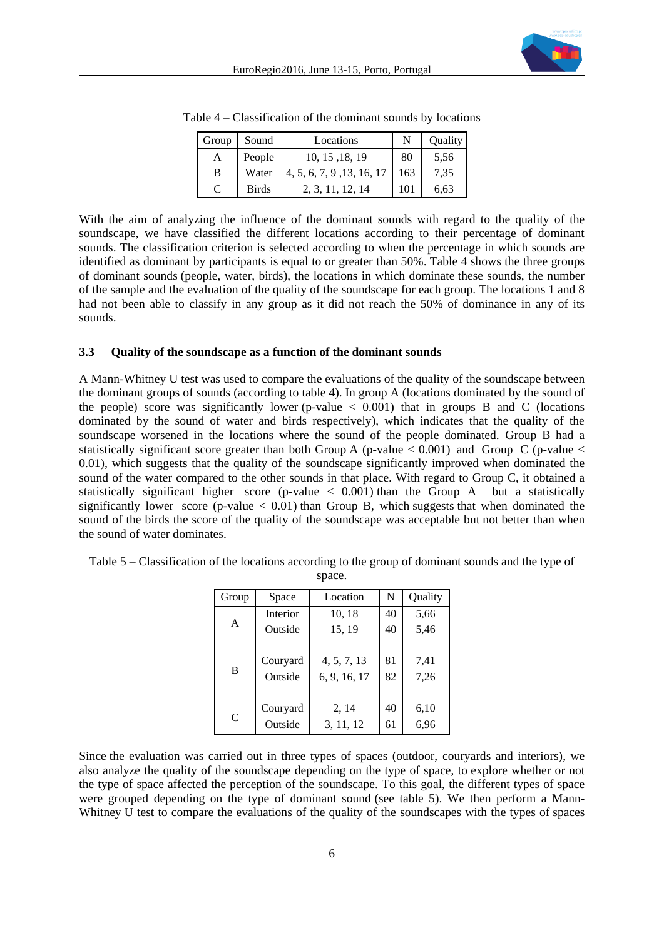| Group         | Sound        | Locations                 |     | Ouality |
|---------------|--------------|---------------------------|-----|---------|
| A             | People       | 10, 15, 18, 19            | 80  | 5,56    |
| B             | Water        | 4, 5, 6, 7, 9, 13, 16, 17 | 163 | 7.35    |
| $\mathcal{C}$ | <b>Birds</b> | 2, 3, 11, 12, 14          | 101 | 6.63    |

Table 4 – Classification of the dominant sounds by locations

With the aim of analyzing the influence of the dominant sounds with regard to the quality of the soundscape, we have classified the different locations according to their percentage of dominant sounds. The classification criterion is selected according to when the percentage in which sounds are identified as dominant by participants is equal to or greater than 50%. Table 4 shows the three groups of dominant sounds (people, water, birds), the locations in which dominate these sounds, the number of the sample and the evaluation of the quality of the soundscape for each group. The locations 1 and 8 had not been able to classify in any group as it did not reach the 50% of dominance in any of its sounds.

#### **3.3 Quality of the soundscape as a function of the dominant sounds**

A Mann-Whitney U test was used to compare the evaluations of the quality of the soundscape between the dominant groups of sounds (according to table 4). In group A (locations dominated by the sound of the people) score was significantly lower (p-value  $\langle 0.001 \rangle$  that in groups B and C (locations dominated by the sound of water and birds respectively), which indicates that the quality of the soundscape worsened in the locations where the sound of the people dominated. Group B had a statistically significant score greater than both Group A (p-value  $\lt 0.001$ ) and Group C (p-value  $\lt$ 0.01), which suggests that the quality of the soundscape significantly improved when dominated the sound of the water compared to the other sounds in that place. With regard to Group C, it obtained a statistically significant higher score (p-value  $\langle 0.001 \rangle$ ) than the Group A but a statistically significantly lower score (p-value  $< 0.01$ ) than Group B, which suggests that when dominated the sound of the birds the score of the quality of the soundscape was acceptable but not better than when the sound of water dominates.

| Group | Space               | Location                    | N        | Quality      |  |
|-------|---------------------|-----------------------------|----------|--------------|--|
|       | Interior            | 10, 18                      | 40       | 5,66         |  |
| A     | Outside             | 15, 19                      | 40       | 5,46         |  |
| B     | Couryard<br>Outside | 4, 5, 7, 13<br>6, 9, 16, 17 | 81<br>82 | 7,41<br>7,26 |  |
| C     | Couryard            | 2, 14                       | 40       | 6,10         |  |
|       | Outside             | 3, 11, 12                   | 61       | 6,96         |  |

Table 5 – Classification of the locations according to the group of dominant sounds and the type of space.

Since the evaluation was carried out in three types of spaces (outdoor, couryards and interiors), we also analyze the quality of the soundscape depending on the type of space, to explore whether or not the type of space affected the perception of the soundscape. To this goal, the different types of space were grouped depending on the type of dominant sound (see table 5). We then perform a Mann-Whitney U test to compare the evaluations of the quality of the soundscapes with the types of spaces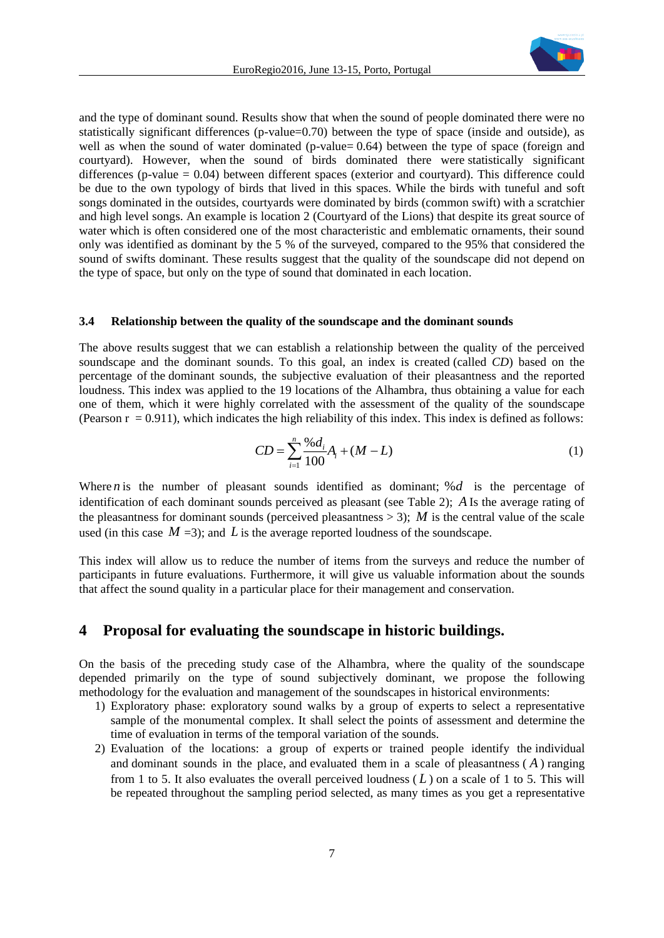

and the type of dominant sound. Results show that when the sound of people dominated there were no statistically significant differences (p-value=0.70) between the type of space (inside and outside), as well as when the sound of water dominated (p-value= 0.64) between the type of space (foreign and courtyard). However, when the sound of birds dominated there were statistically significant differences (p-value  $= 0.04$ ) between different spaces (exterior and courtyard). This difference could be due to the own typology of birds that lived in this spaces. While the birds with tuneful and soft songs dominated in the outsides, courtyards were dominated by birds (common swift) with a scratchier and high level songs. An example is location 2 (Courtyard of the Lions) that despite its great source of water which is often considered one of the most characteristic and emblematic ornaments, their sound only was identified as dominant by the 5 % of the surveyed, compared to the 95% that considered the sound of swifts dominant. These results suggest that the quality of the soundscape did not depend on the type of space, but only on the type of sound that dominated in each location.

#### **3.4 Relationship between the quality of the soundscape and the dominant sounds**

The above results suggest that we can establish a relationship between the quality of the perceived soundscape and the dominant sounds. To this goal, an index is created (called *CD*) based on the percentage of the dominant sounds, the subjective evaluation of their pleasantness and the reported loudness. This index was applied to the 19 locations of the Alhambra, thus obtaining a value for each one of them, which it were highly correlated with the assessment of the quality of the soundscape (Pearson  $r = 0.911$ ), which indicates the high reliability of this index. This index is defined as follows:

$$
CD = \sum_{i=1}^{n} \frac{\%d_i}{100} A_i + (M - L) \tag{1}
$$

Where *n* is the number of pleasant sounds identified as dominant;  $\%d$  is the percentage of identification of each dominant sounds perceived as pleasant (see Table 2); *A* Is the average rating of the pleasantness for dominant sounds (perceived pleasantness  $> 3$ ); M is the central value of the scale used (in this case  $M = 3$ ); and L is the average reported loudness of the soundscape.

This index will allow us to reduce the number of items from the surveys and reduce the number of participants in future evaluations. Furthermore, it will give us valuable information about the sounds that affect the sound quality in a particular place for their management and conservation.

## **4 Proposal for evaluating the soundscape in historic buildings.**

On the basis of the preceding study case of the Alhambra, where the quality of the soundscape depended primarily on the type of sound subjectively dominant, we propose the following methodology for the evaluation and management of the soundscapes in historical environments:

- 1) Exploratory phase: exploratory sound walks by a group of experts to select a representative sample of the monumental complex. It shall select the points of assessment and determine the time of evaluation in terms of the temporal variation of the sounds.
- 2) Evaluation of the locations: a group of experts or trained people identify the individual and dominant sounds in the place, and evaluated them in a scale of pleasantness  $(A)$  ranging from 1 to 5. It also evaluates the overall perceived loudness  $(L)$  on a scale of 1 to 5. This will be repeated throughout the sampling period selected, as many times as you get a representative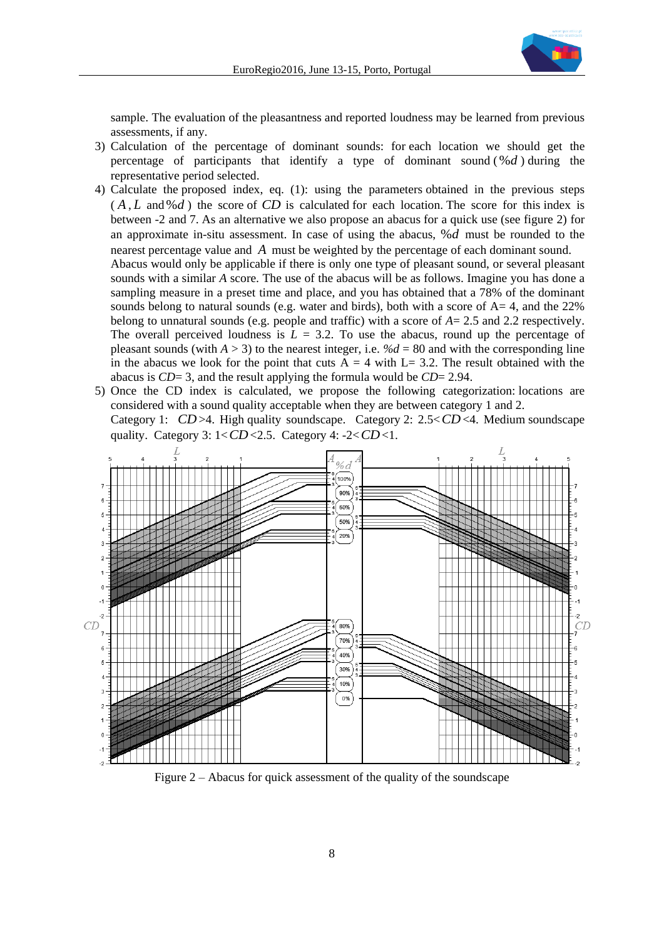

sample. The evaluation of the pleasantness and reported loudness may be learned from previous assessments, if any.

- 3) Calculation of the percentage of dominant sounds: for each location we should get the percentage of participants that identify a type of dominant sound ( %*d* ) during the representative period selected.
- 4) Calculate the proposed index, eq. (1): using the parameters obtained in the previous steps  $(A, L \text{ and } \mathcal{A})$  the score of CD is calculated for each location. The score for this index is between -2 and 7. As an alternative we also propose an abacus for a quick use (see figure 2) for an approximate in-situ assessment. In case of using the abacus, %*d* must be rounded to the nearest percentage value and *A* must be weighted by the percentage of each dominant sound. Abacus would only be applicable if there is only one type of pleasant sound, or several pleasant sounds with a similar *A* score. The use of the abacus will be as follows. Imagine you has done a sampling measure in a preset time and place, and you has obtained that a 78% of the dominant sounds belong to natural sounds (e.g. water and birds), both with a score of  $A=4$ , and the 22% belong to unnatural sounds (e.g. people and traffic) with a score of *A*= 2.5 and 2.2 respectively. The overall perceived loudness is  $L = 3.2$ . To use the abacus, round up the percentage of pleasant sounds (with  $A > 3$ ) to the nearest integer, i.e.  $\%d = 80$  and with the corresponding line in the abacus we look for the point that cuts  $A = 4$  with L= 3.2. The result obtained with the abacus is *CD*= 3, and the result applying the formula would be *CD*= 2.94.
- 5) Once the CD index is calculated, we propose the following categorization: locations are considered with a sound quality acceptable when they are between category 1 and 2. Category 1: CD >4. High quality soundscape. Category 2: 2.5<CD <4. Medium soundscape quality. Category 3:  $1 < CD < 2.5$ . Category 4:  $-2 < CD < 1$ .



Figure 2 – Abacus for quick assessment of the quality of the soundscape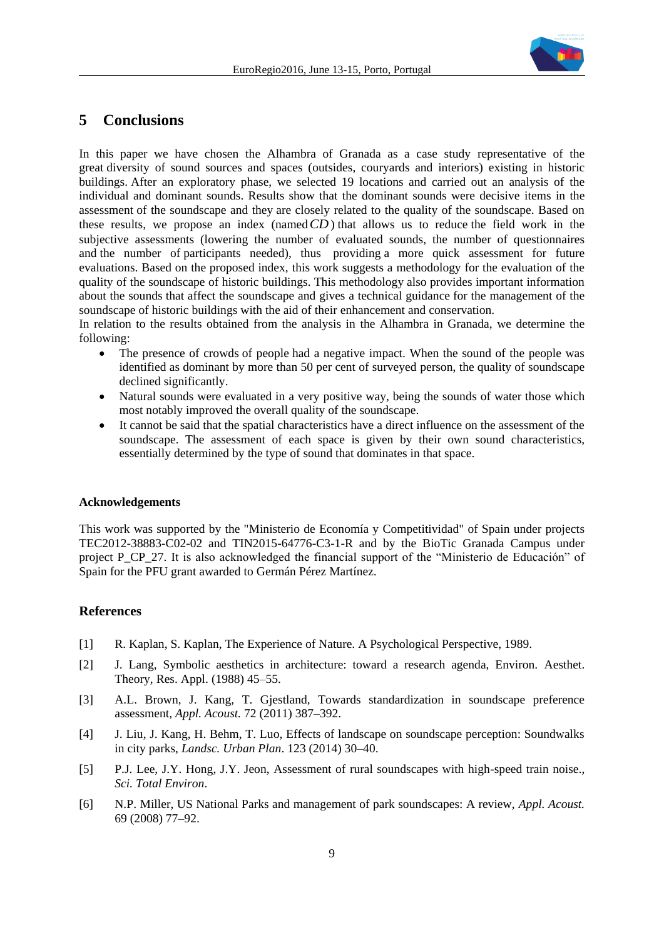

## **5 Conclusions**

In this paper we have chosen the Alhambra of Granada as a case study representative of the great diversity of sound sources and spaces (outsides, couryards and interiors) existing in historic buildings. After an exploratory phase, we selected 19 locations and carried out an analysis of the individual and dominant sounds. Results show that the dominant sounds were decisive items in the assessment of the soundscape and they are closely related to the quality of the soundscape. Based on these results, we propose an index (named *CD* ) that allows us to reduce the field work in the subjective assessments (lowering the number of evaluated sounds, the number of questionnaires and the number of participants needed), thus providing a more quick assessment for future evaluations. Based on the proposed index, this work suggests a methodology for the evaluation of the quality of the soundscape of historic buildings. This methodology also provides important information about the sounds that affect the soundscape and gives a technical guidance for the management of the soundscape of historic buildings with the aid of their enhancement and conservation.

In relation to the results obtained from the analysis in the Alhambra in Granada, we determine the following:

- The presence of crowds of people had a negative impact. When the sound of the people was identified as dominant by more than 50 per cent of surveyed person, the quality of soundscape declined significantly.
- Natural sounds were evaluated in a very positive way, being the sounds of water those which most notably improved the overall quality of the soundscape.
- It cannot be said that the spatial characteristics have a direct influence on the assessment of the soundscape. The assessment of each space is given by their own sound characteristics, essentially determined by the type of sound that dominates in that space.

#### **Acknowledgements**

This work was supported by the "Ministerio de Economía y Competitividad" of Spain under projects TEC2012-38883-C02-02 and TIN2015-64776-C3-1-R and by the BioTic Granada Campus under project P\_CP\_27. It is also acknowledged the financial support of the "Ministerio de Educación" of Spain for the PFU grant awarded to Germán Pérez Martínez.

## **References**

- [1] R. Kaplan, S. Kaplan, The Experience of Nature. A Psychological Perspective, 1989.
- [2] J. Lang, Symbolic aesthetics in architecture: toward a research agenda, Environ. Aesthet. Theory, Res. Appl. (1988) 45–55.
- [3] A.L. Brown, J. Kang, T. Gjestland, Towards standardization in soundscape preference assessment, *Appl. Acoust.* 72 (2011) 387–392.
- [4] J. Liu, J. Kang, H. Behm, T. Luo, Effects of landscape on soundscape perception: Soundwalks in city parks, *Landsc. Urban Plan*. 123 (2014) 30–40.
- [5] P.J. Lee, J.Y. Hong, J.Y. Jeon, Assessment of rural soundscapes with high-speed train noise., *Sci. Total Environ*.
- [6] N.P. Miller, US National Parks and management of park soundscapes: A review, *Appl. Acoust.* 69 (2008) 77–92.